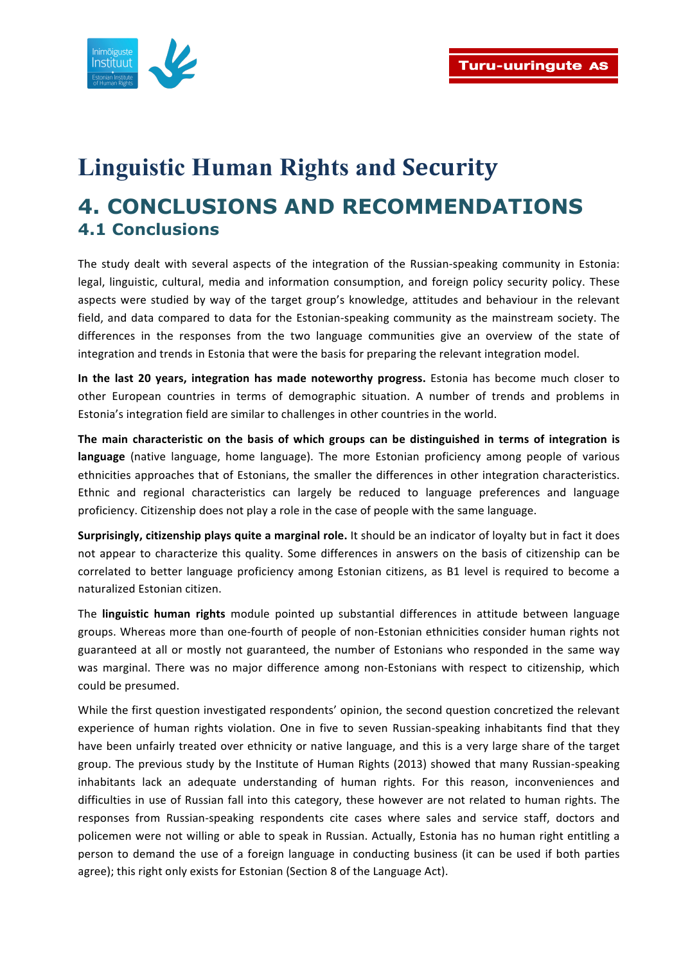

## **Linguistic Human Rights and Security 4. CONCLUSIONS AND RECOMMENDATIONS 4.1 Conclusions**

The study dealt with several aspects of the integration of the Russian-speaking community in Estonia: legal, linguistic, cultural, media and information consumption, and foreign policy security policy. These aspects were studied by way of the target group's knowledge, attitudes and behaviour in the relevant field, and data compared to data for the Estonian-speaking community as the mainstream society. The differences in the responses from the two language communities give an overview of the state of integration and trends in Estonia that were the basis for preparing the relevant integration model.

**In the last 20 years, integration has made noteworthy progress.** Estonia has become much closer to other European countries in terms of demographic situation. A number of trends and problems in Estonia's integration field are similar to challenges in other countries in the world.

The main characteristic on the basis of which groups can be distinguished in terms of integration is **language** (native language, home language). The more Estonian proficiency among people of various ethnicities approaches that of Estonians, the smaller the differences in other integration characteristics. Ethnic and regional characteristics can largely be reduced to language preferences and language proficiency. Citizenship does not play a role in the case of people with the same language.

**Surprisingly, citizenship plays quite a marginal role.** It should be an indicator of loyalty but in fact it does not appear to characterize this quality. Some differences in answers on the basis of citizenship can be correlated to better language proficiency among Estonian citizens, as B1 level is required to become a naturalized Estonian citizen. 

The **linguistic human rights** module pointed up substantial differences in attitude between language groups. Whereas more than one-fourth of people of non-Estonian ethnicities consider human rights not guaranteed at all or mostly not guaranteed, the number of Estonians who responded in the same way was marginal. There was no major difference among non-Estonians with respect to citizenship, which could be presumed.

While the first question investigated respondents' opinion, the second question concretized the relevant experience of human rights violation. One in five to seven Russian-speaking inhabitants find that they have been unfairly treated over ethnicity or native language, and this is a very large share of the target group. The previous study by the Institute of Human Rights (2013) showed that many Russian-speaking inhabitants lack an adequate understanding of human rights. For this reason, inconveniences and difficulties in use of Russian fall into this category, these however are not related to human rights. The responses from Russian-speaking respondents cite cases where sales and service staff, doctors and policemen were not willing or able to speak in Russian. Actually, Estonia has no human right entitling a person to demand the use of a foreign language in conducting business (it can be used if both parties agree); this right only exists for Estonian (Section 8 of the Language Act).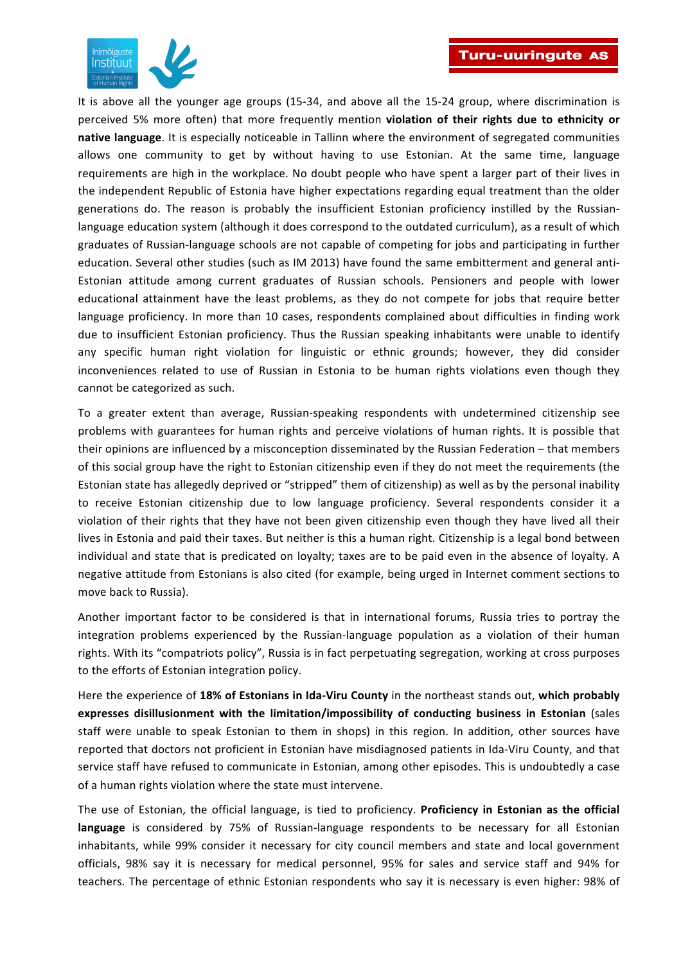

It is above all the younger age groups (15-34, and above all the 15-24 group, where discrimination is perceived 5% more often) that more frequently mention **violation of their rights due to ethnicity or native language**. It is especially noticeable in Tallinn where the environment of segregated communities allows one community to get by without having to use Estonian. At the same time, language requirements are high in the workplace. No doubt people who have spent a larger part of their lives in the independent Republic of Estonia have higher expectations regarding equal treatment than the older generations do. The reason is probably the insufficient Estonian proficiency instilled by the Russianlanguage education system (although it does correspond to the outdated curriculum), as a result of which graduates of Russian-language schools are not capable of competing for jobs and participating in further education. Several other studies (such as IM 2013) have found the same embitterment and general anti-Estonian attitude among current graduates of Russian schools. Pensioners and people with lower educational attainment have the least problems, as they do not compete for jobs that require better language proficiency. In more than 10 cases, respondents complained about difficulties in finding work due to insufficient Estonian proficiency. Thus the Russian speaking inhabitants were unable to identify any specific human right violation for linguistic or ethnic grounds; however, they did consider inconveniences related to use of Russian in Estonia to be human rights violations even though they cannot be categorized as such.

To a greater extent than average, Russian-speaking respondents with undetermined citizenship see problems with guarantees for human rights and perceive violations of human rights. It is possible that their opinions are influenced by a misconception disseminated by the Russian Federation – that members of this social group have the right to Estonian citizenship even if they do not meet the requirements (the Estonian state has allegedly deprived or "stripped" them of citizenship) as well as by the personal inability to receive Estonian citizenship due to low language proficiency. Several respondents consider it a violation of their rights that they have not been given citizenship even though they have lived all their lives in Estonia and paid their taxes. But neither is this a human right. Citizenship is a legal bond between individual and state that is predicated on loyalty; taxes are to be paid even in the absence of loyalty. A negative attitude from Estonians is also cited (for example, being urged in Internet comment sections to move back to Russia).

Another important factor to be considered is that in international forums, Russia tries to portray the integration problems experienced by the Russian-language population as a violation of their human rights. With its "compatriots policy", Russia is in fact perpetuating segregation, working at cross purposes to the efforts of Estonian integration policy.

Here the experience of 18% of Estonians in Ida-Viru County in the northeast stands out, which probably expresses disillusionment with the limitation/impossibility of conducting business in Estonian (sales staff were unable to speak Estonian to them in shops) in this region. In addition, other sources have reported that doctors not proficient in Estonian have misdiagnosed patients in Ida-Viru County, and that service staff have refused to communicate in Estonian, among other episodes. This is undoubtedly a case of a human rights violation where the state must intervene.

The use of Estonian, the official language, is tied to proficiency. Proficiency in Estonian as the official language is considered by 75% of Russian-language respondents to be necessary for all Estonian inhabitants, while 99% consider it necessary for city council members and state and local government officials, 98% say it is necessary for medical personnel, 95% for sales and service staff and 94% for teachers. The percentage of ethnic Estonian respondents who say it is necessary is even higher: 98% of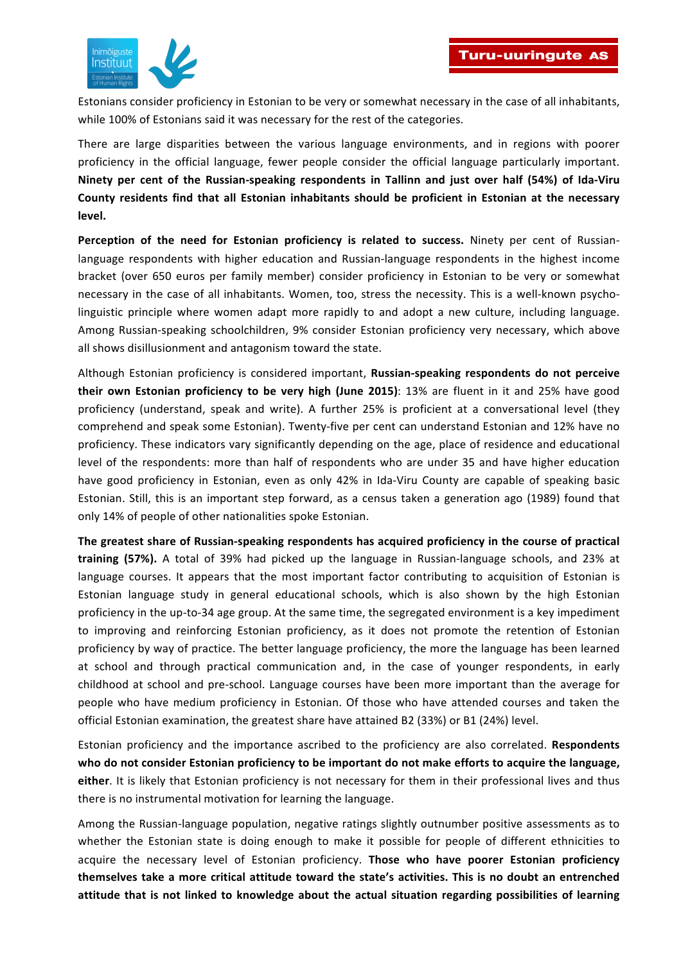

Estonians consider proficiency in Estonian to be very or somewhat necessary in the case of all inhabitants, while 100% of Estonians said it was necessary for the rest of the categories.

There are large disparities between the various language environments, and in regions with poorer proficiency in the official language, fewer people consider the official language particularly important. **Ninety per cent of the Russian-speaking respondents in Tallinn and just over half (54%) of Ida-Viru** County residents find that all Estonian inhabitants should be proficient in Estonian at the necessary **level.**

**Perception of the need for Estonian proficiency is related to success.** Ninety per cent of Russianlanguage respondents with higher education and Russian-language respondents in the highest income bracket (over 650 euros per family member) consider proficiency in Estonian to be very or somewhat necessary in the case of all inhabitants. Women, too, stress the necessity. This is a well-known psycholinguistic principle where women adapt more rapidly to and adopt a new culture, including language. Among Russian-speaking schoolchildren, 9% consider Estonian proficiency very necessary, which above all shows disillusionment and antagonism toward the state.

Although Estonian proficiency is considered important, **Russian-speaking respondents do not perceive their own Estonian proficiency to be very high (June 2015)**: 13% are fluent in it and 25% have good proficiency (understand, speak and write). A further 25% is proficient at a conversational level (they comprehend and speak some Estonian). Twenty-five per cent can understand Estonian and 12% have no proficiency. These indicators vary significantly depending on the age, place of residence and educational level of the respondents: more than half of respondents who are under 35 and have higher education have good proficiency in Estonian, even as only 42% in Ida-Viru County are capable of speaking basic Estonian. Still, this is an important step forward, as a census taken a generation ago (1989) found that only 14% of people of other nationalities spoke Estonian.

The greatest share of Russian-speaking respondents has acquired proficiency in the course of practical **training (57%).** A total of 39% had picked up the language in Russian-language schools, and 23% at language courses. It appears that the most important factor contributing to acquisition of Estonian is Estonian language study in general educational schools, which is also shown by the high Estonian proficiency in the up-to-34 age group. At the same time, the segregated environment is a key impediment to improving and reinforcing Estonian proficiency, as it does not promote the retention of Estonian proficiency by way of practice. The better language proficiency, the more the language has been learned at school and through practical communication and, in the case of younger respondents, in early childhood at school and pre-school. Language courses have been more important than the average for people who have medium proficiency in Estonian. Of those who have attended courses and taken the official Estonian examination, the greatest share have attained B2 (33%) or B1 (24%) level.

Estonian proficiency and the importance ascribed to the proficiency are also correlated. **Respondents** who do not consider Estonian proficiency to be important do not make efforts to acquire the language, either. It is likely that Estonian proficiency is not necessary for them in their professional lives and thus there is no instrumental motivation for learning the language.

Among the Russian-language population, negative ratings slightly outnumber positive assessments as to whether the Estonian state is doing enough to make it possible for people of different ethnicities to acquire the necessary level of Estonian proficiency. **Those who have poorer Estonian proficiency** themselves take a more critical attitude toward the state's activities. This is no doubt an entrenched attitude that is not linked to knowledge about the actual situation regarding possibilities of learning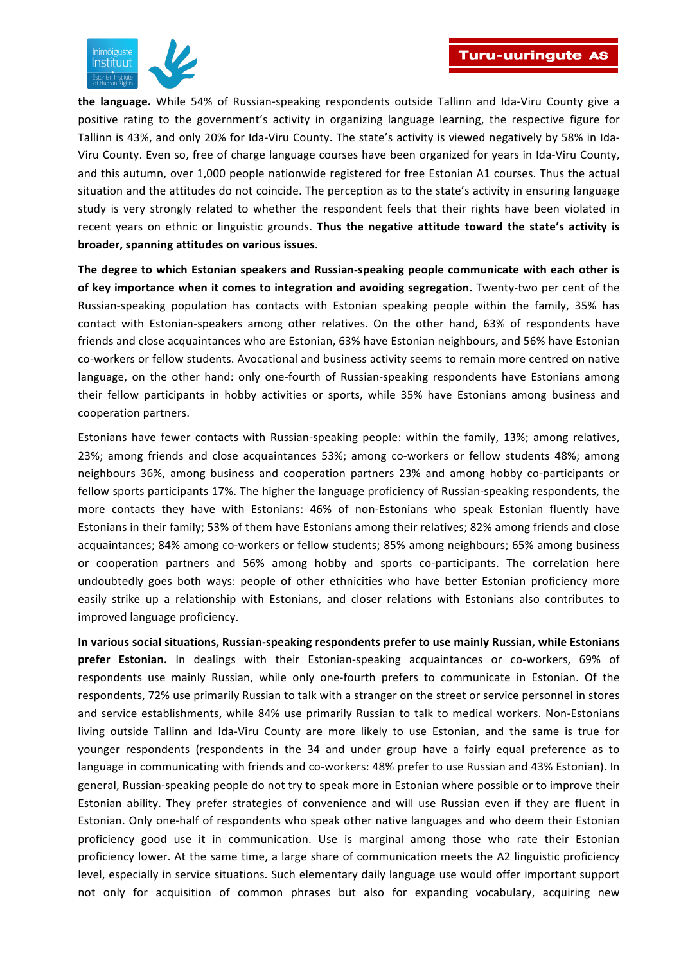

**the language.** While 54% of Russian-speaking respondents outside Tallinn and Ida-Viru County give a positive rating to the government's activity in organizing language learning, the respective figure for Tallinn is 43%, and only 20% for Ida-Viru County. The state's activity is viewed negatively by 58% in Ida-Viru County. Even so, free of charge language courses have been organized for years in Ida-Viru County, and this autumn, over 1,000 people nationwide registered for free Estonian A1 courses. Thus the actual situation and the attitudes do not coincide. The perception as to the state's activity in ensuring language study is very strongly related to whether the respondent feels that their rights have been violated in recent years on ethnic or linguistic grounds. Thus the negative attitude toward the state's activity is **broader, spanning attitudes on various issues.** 

The degree to which Estonian speakers and Russian-speaking people communicate with each other is of key importance when it comes to integration and avoiding segregation. Twenty-two per cent of the Russian-speaking population has contacts with Estonian speaking people within the family, 35% has contact with Estonian-speakers among other relatives. On the other hand, 63% of respondents have friends and close acquaintances who are Estonian, 63% have Estonian neighbours, and 56% have Estonian co-workers or fellow students. Avocational and business activity seems to remain more centred on native language, on the other hand: only one-fourth of Russian-speaking respondents have Estonians among their fellow participants in hobby activities or sports, while 35% have Estonians among business and cooperation partners.

Estonians have fewer contacts with Russian-speaking people: within the family, 13%; among relatives, 23%; among friends and close acquaintances 53%; among co-workers or fellow students 48%; among neighbours 36%, among business and cooperation partners 23% and among hobby co-participants or fellow sports participants 17%. The higher the language proficiency of Russian-speaking respondents, the more contacts they have with Estonians: 46% of non-Estonians who speak Estonian fluently have Estonians in their family; 53% of them have Estonians among their relatives; 82% among friends and close acquaintances; 84% among co-workers or fellow students; 85% among neighbours; 65% among business or cooperation partners and 56% among hobby and sports co-participants. The correlation here undoubtedly goes both ways: people of other ethnicities who have better Estonian proficiency more easily strike up a relationship with Estonians, and closer relations with Estonians also contributes to improved language proficiency.

In various social situations, Russian-speaking respondents prefer to use mainly Russian, while Estonians **prefer Estonian.** In dealings with their Estonian-speaking acquaintances or co-workers, 69% of respondents use mainly Russian, while only one-fourth prefers to communicate in Estonian. Of the respondents, 72% use primarily Russian to talk with a stranger on the street or service personnel in stores and service establishments, while 84% use primarily Russian to talk to medical workers. Non-Estonians living outside Tallinn and Ida-Viru County are more likely to use Estonian, and the same is true for younger respondents (respondents in the 34 and under group have a fairly equal preference as to language in communicating with friends and co-workers: 48% prefer to use Russian and 43% Estonian). In general, Russian-speaking people do not try to speak more in Estonian where possible or to improve their Estonian ability. They prefer strategies of convenience and will use Russian even if they are fluent in Estonian. Only one-half of respondents who speak other native languages and who deem their Estonian proficiency good use it in communication. Use is marginal among those who rate their Estonian proficiency lower. At the same time, a large share of communication meets the A2 linguistic proficiency level, especially in service situations. Such elementary daily language use would offer important support not only for acquisition of common phrases but also for expanding vocabulary, acquiring new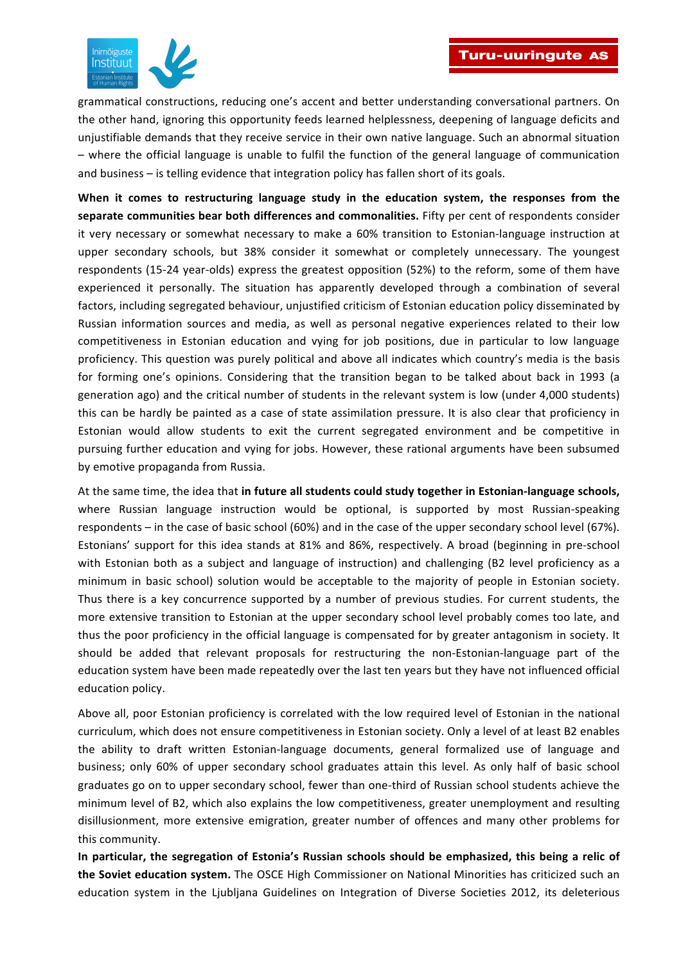

grammatical constructions, reducing one's accent and better understanding conversational partners. On the other hand, ignoring this opportunity feeds learned helplessness, deepening of language deficits and unjustifiable demands that they receive service in their own native language. Such an abnormal situation – where the official language is unable to fulfil the function of the general language of communication and business  $-$  is telling evidence that integration policy has fallen short of its goals.

When it comes to restructuring language study in the education system, the responses from the separate communities bear both differences and commonalities. Fifty per cent of respondents consider it very necessary or somewhat necessary to make a 60% transition to Estonian-language instruction at upper secondary schools, but 38% consider it somewhat or completely unnecessary. The youngest respondents (15-24 year-olds) express the greatest opposition (52%) to the reform, some of them have experienced it personally. The situation has apparently developed through a combination of several factors, including segregated behaviour, unjustified criticism of Estonian education policy disseminated by Russian information sources and media, as well as personal negative experiences related to their low competitiveness in Estonian education and vying for job positions, due in particular to low language proficiency. This question was purely political and above all indicates which country's media is the basis for forming one's opinions. Considering that the transition began to be talked about back in 1993 (a generation ago) and the critical number of students in the relevant system is low (under 4,000 students) this can be hardly be painted as a case of state assimilation pressure. It is also clear that proficiency in Estonian would allow students to exit the current segregated environment and be competitive in pursuing further education and vying for jobs. However, these rational arguments have been subsumed by emotive propaganda from Russia.

At the same time, the idea that in future all students could study together in Estonian-language schools, where Russian language instruction would be optional, is supported by most Russian-speaking respondents – in the case of basic school (60%) and in the case of the upper secondary school level (67%). Estonians' support for this idea stands at 81% and 86%, respectively. A broad (beginning in pre-school with Estonian both as a subject and language of instruction) and challenging (B2 level proficiency as a minimum in basic school) solution would be acceptable to the majority of people in Estonian society. Thus there is a key concurrence supported by a number of previous studies. For current students, the more extensive transition to Estonian at the upper secondary school level probably comes too late, and thus the poor proficiency in the official language is compensated for by greater antagonism in society. It should be added that relevant proposals for restructuring the non-Estonian-language part of the education system have been made repeatedly over the last ten years but they have not influenced official education policy.

Above all, poor Estonian proficiency is correlated with the low required level of Estonian in the national curriculum, which does not ensure competitiveness in Estonian society. Only a level of at least B2 enables the ability to draft written Estonian-language documents, general formalized use of language and business; only 60% of upper secondary school graduates attain this level. As only half of basic school graduates go on to upper secondary school, fewer than one-third of Russian school students achieve the minimum level of B2, which also explains the low competitiveness, greater unemployment and resulting disillusionment, more extensive emigration, greater number of offences and many other problems for this community.

In particular, the segregation of Estonia's Russian schools should be emphasized, this being a relic of the Soviet education system. The OSCE High Commissioner on National Minorities has criticized such an education system in the Ljubljana Guidelines on Integration of Diverse Societies 2012, its deleterious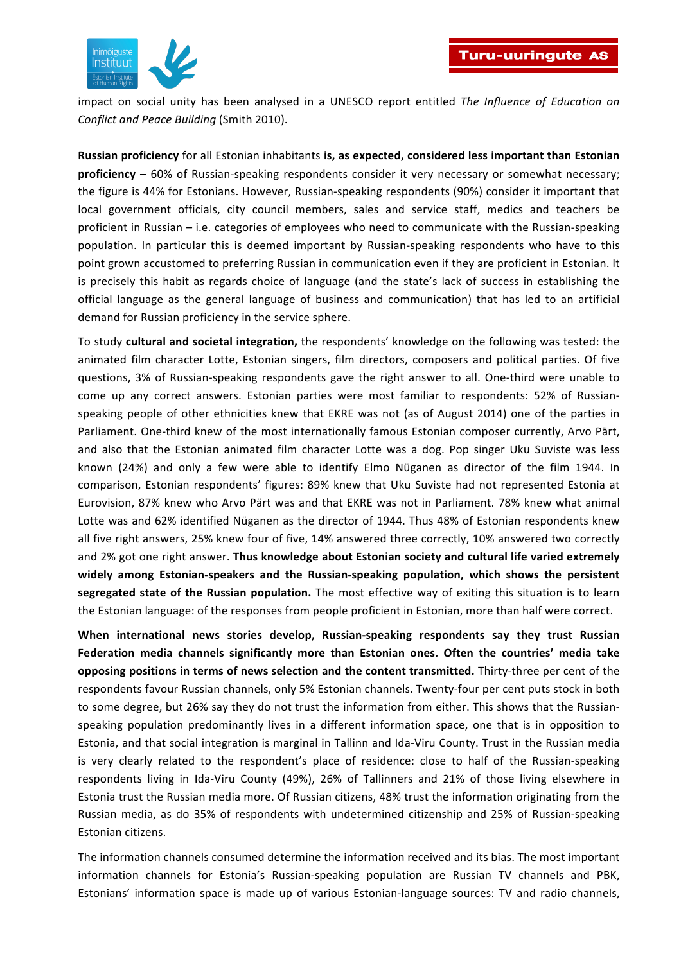

impact on social unity has been analysed in a UNESCO report entitled *The Influence of Education on Conflict and Peace Building* (Smith 2010).

**Russian proficiency** for all Estonian inhabitants is, as expected, considered less important than Estonian **proficiency** – 60% of Russian-speaking respondents consider it very necessary or somewhat necessary; the figure is 44% for Estonians. However, Russian-speaking respondents (90%) consider it important that local government officials, city council members, sales and service staff, medics and teachers be proficient in Russian – i.e. categories of employees who need to communicate with the Russian-speaking population. In particular this is deemed important by Russian-speaking respondents who have to this point grown accustomed to preferring Russian in communication even if they are proficient in Estonian. It is precisely this habit as regards choice of language (and the state's lack of success in establishing the official language as the general language of business and communication) that has led to an artificial demand for Russian proficiency in the service sphere.

To study **cultural and societal integration,** the respondents' knowledge on the following was tested: the animated film character Lotte, Estonian singers, film directors, composers and political parties. Of five questions, 3% of Russian-speaking respondents gave the right answer to all. One-third were unable to come up any correct answers. Estonian parties were most familiar to respondents: 52% of Russianspeaking people of other ethnicities knew that EKRE was not (as of August 2014) one of the parties in Parliament. One-third knew of the most internationally famous Estonian composer currently, Arvo Pärt, and also that the Estonian animated film character Lotte was a dog. Pop singer Uku Suviste was less known (24%) and only a few were able to identify Elmo Nüganen as director of the film 1944. In comparison, Estonian respondents' figures: 89% knew that Uku Suviste had not represented Estonia at Eurovision, 87% knew who Arvo Pärt was and that EKRE was not in Parliament. 78% knew what animal Lotte was and 62% identified Nüganen as the director of 1944. Thus 48% of Estonian respondents knew all five right answers, 25% knew four of five, 14% answered three correctly, 10% answered two correctly and 2% got one right answer. Thus knowledge about Estonian society and cultural life varied extremely widely among Estonian-speakers and the Russian-speaking population, which shows the persistent segregated state of the Russian population. The most effective way of exiting this situation is to learn the Estonian language: of the responses from people proficient in Estonian, more than half were correct.

**When international news stories develop, Russian-speaking respondents say they trust Russian Federation media channels significantly more than Estonian ones. Often the countries' media take opposing positions in terms of news selection and the content transmitted.** Thirty-three per cent of the respondents favour Russian channels, only 5% Estonian channels. Twenty-four per cent puts stock in both to some degree, but 26% say they do not trust the information from either. This shows that the Russianspeaking population predominantly lives in a different information space, one that is in opposition to Estonia, and that social integration is marginal in Tallinn and Ida-Viru County. Trust in the Russian media is very clearly related to the respondent's place of residence: close to half of the Russian-speaking respondents living in Ida-Viru County (49%), 26% of Tallinners and 21% of those living elsewhere in Estonia trust the Russian media more. Of Russian citizens, 48% trust the information originating from the Russian media, as do 35% of respondents with undetermined citizenship and 25% of Russian-speaking Estonian citizens.

The information channels consumed determine the information received and its bias. The most important information channels for Estonia's Russian-speaking population are Russian TV channels and PBK, Estonians' information space is made up of various Estonian-language sources: TV and radio channels,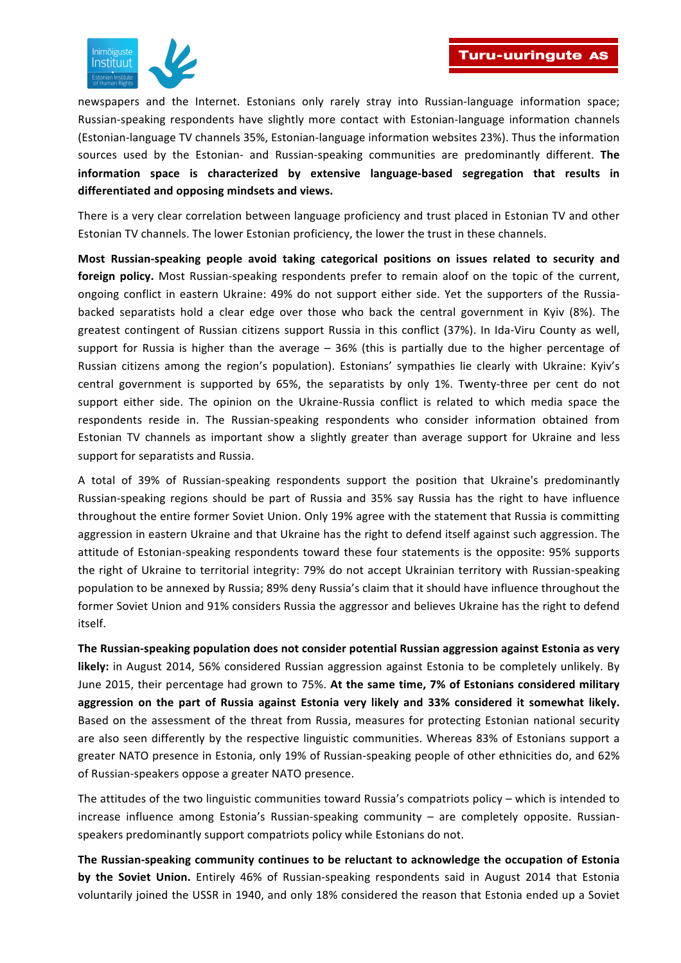

newspapers and the Internet. Estonians only rarely stray into Russian-language information space; Russian-speaking respondents have slightly more contact with Estonian-language information channels (Estonian-language TV channels 35%, Estonian-language information websites 23%). Thus the information sources used by the Estonian- and Russian-speaking communities are predominantly different. The information space is characterized by extensive language-based segregation that results in **differentiated and opposing mindsets and views.**

There is a very clear correlation between language proficiency and trust placed in Estonian TV and other Estonian TV channels. The lower Estonian proficiency, the lower the trust in these channels.

Most Russian-speaking people avoid taking categorical positions on issues related to security and **foreign policy.** Most Russian-speaking respondents prefer to remain aloof on the topic of the current, ongoing conflict in eastern Ukraine: 49% do not support either side. Yet the supporters of the Russiabacked separatists hold a clear edge over those who back the central government in Kyiv (8%). The greatest contingent of Russian citizens support Russia in this conflict (37%). In Ida-Viru County as well, support for Russia is higher than the average  $-$  36% (this is partially due to the higher percentage of Russian citizens among the region's population). Estonians' sympathies lie clearly with Ukraine: Kyiv's central government is supported by 65%, the separatists by only 1%. Twenty-three per cent do not support either side. The opinion on the Ukraine-Russia conflict is related to which media space the respondents reside in. The Russian-speaking respondents who consider information obtained from Estonian TV channels as important show a slightly greater than average support for Ukraine and less support for separatists and Russia.

A total of 39% of Russian-speaking respondents support the position that Ukraine's predominantly Russian-speaking regions should be part of Russia and 35% say Russia has the right to have influence throughout the entire former Soviet Union. Only 19% agree with the statement that Russia is committing aggression in eastern Ukraine and that Ukraine has the right to defend itself against such aggression. The attitude of Estonian-speaking respondents toward these four statements is the opposite: 95% supports the right of Ukraine to territorial integrity: 79% do not accept Ukrainian territory with Russian-speaking population to be annexed by Russia; 89% deny Russia's claim that it should have influence throughout the former Soviet Union and 91% considers Russia the aggressor and believes Ukraine has the right to defend itself.

The Russian-speaking population does not consider potential Russian aggression against Estonia as very likely: in August 2014, 56% considered Russian aggression against Estonia to be completely unlikely. By June 2015, their percentage had grown to 75%. At the same time, 7% of Estonians considered military aggression on the part of Russia against Estonia very likely and 33% considered it somewhat likely. Based on the assessment of the threat from Russia, measures for protecting Estonian national security are also seen differently by the respective linguistic communities. Whereas 83% of Estonians support a greater NATO presence in Estonia, only 19% of Russian-speaking people of other ethnicities do, and 62% of Russian-speakers oppose a greater NATO presence.

The attitudes of the two linguistic communities toward Russia's compatriots policy – which is intended to  $increases$  influence among Estonia's Russian-speaking community  $-$  are completely opposite. Russianspeakers predominantly support compatriots policy while Estonians do not.

The Russian-speaking community continues to be reluctant to acknowledge the occupation of Estonia **by the Soviet Union.** Entirely 46% of Russian-speaking respondents said in August 2014 that Estonia voluntarily joined the USSR in 1940, and only 18% considered the reason that Estonia ended up a Soviet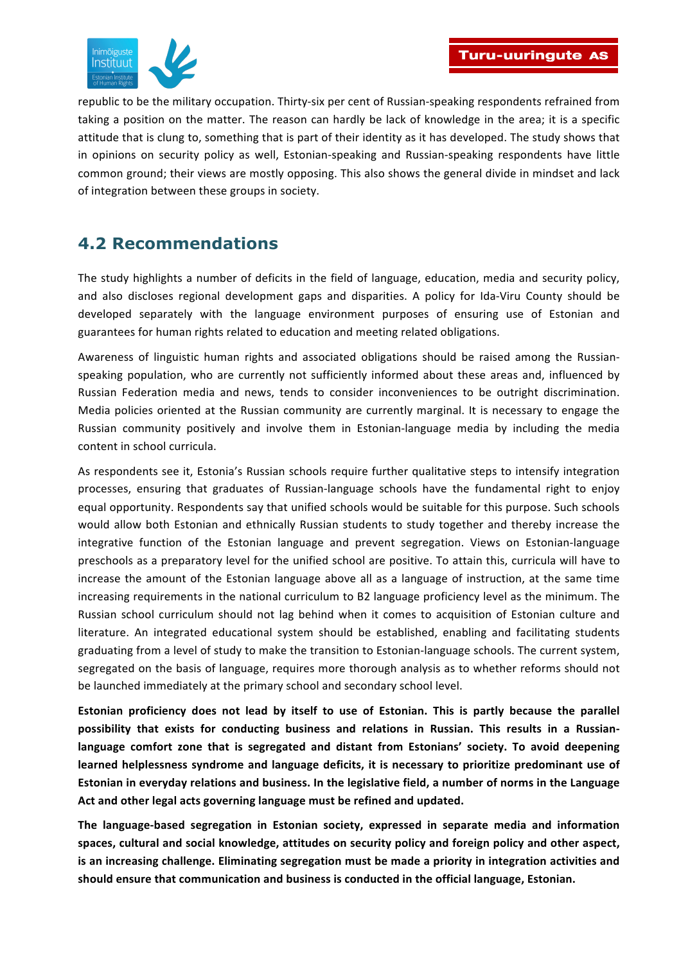

republic to be the military occupation. Thirty-six per cent of Russian-speaking respondents refrained from taking a position on the matter. The reason can hardly be lack of knowledge in the area; it is a specific attitude that is clung to, something that is part of their identity as it has developed. The study shows that in opinions on security policy as well, Estonian-speaking and Russian-speaking respondents have little common ground; their views are mostly opposing. This also shows the general divide in mindset and lack of integration between these groups in society.

## **4.2 Recommendations**

The study highlights a number of deficits in the field of language, education, media and security policy, and also discloses regional development gaps and disparities. A policy for Ida-Viru County should be developed separately with the language environment purposes of ensuring use of Estonian and guarantees for human rights related to education and meeting related obligations.

Awareness of linguistic human rights and associated obligations should be raised among the Russianspeaking population, who are currently not sufficiently informed about these areas and, influenced by Russian Federation media and news, tends to consider inconveniences to be outright discrimination. Media policies oriented at the Russian community are currently marginal. It is necessary to engage the Russian community positively and involve them in Estonian-language media by including the media content in school curricula.

As respondents see it, Estonia's Russian schools require further qualitative steps to intensify integration processes, ensuring that graduates of Russian-language schools have the fundamental right to enjoy equal opportunity. Respondents say that unified schools would be suitable for this purpose. Such schools would allow both Estonian and ethnically Russian students to study together and thereby increase the integrative function of the Estonian language and prevent segregation. Views on Estonian-language preschools as a preparatory level for the unified school are positive. To attain this, curricula will have to increase the amount of the Estonian language above all as a language of instruction, at the same time increasing requirements in the national curriculum to B2 language proficiency level as the minimum. The Russian school curriculum should not lag behind when it comes to acquisition of Estonian culture and literature. An integrated educational system should be established, enabling and facilitating students graduating from a level of study to make the transition to Estonian-language schools. The current system, segregated on the basis of language, requires more thorough analysis as to whether reforms should not be launched immediately at the primary school and secondary school level.

**Estonian proficiency does not lead by itself to use of Estonian. This is partly because the parallel** possibility that exists for conducting business and relations in Russian. This results in a Russianlanguage comfort zone that is segregated and distant from Estonians' society. To avoid deepening learned helplessness syndrome and language deficits, it is necessary to prioritize predominant use of **Estonian in everyday relations and business. In the legislative field, a number of norms in the Language** Act and other legal acts governing language must be refined and updated.

The language-based segregation in Estonian society, expressed in separate media and information spaces, cultural and social knowledge, attitudes on security policy and foreign policy and other aspect, is an increasing challenge. Eliminating segregation must be made a priority in integration activities and should ensure that communication and business is conducted in the official language, Estonian.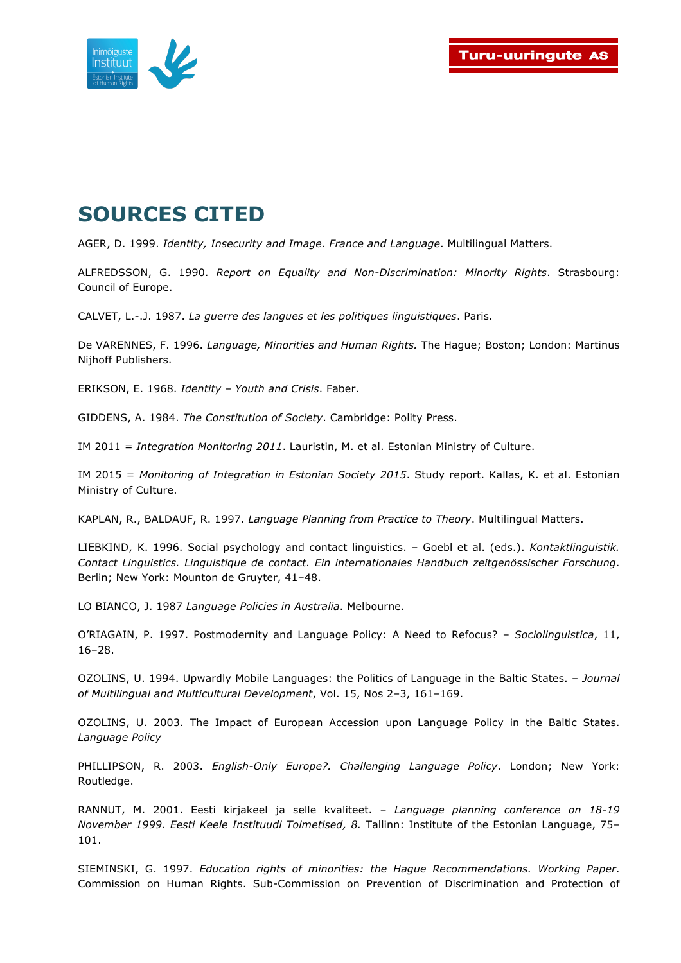

## **SOURCES CITED**

AGER, D. 1999. *Identity, Insecurity and Image. France and Language*. Multilingual Matters.

ALFREDSSON, G. 1990. *Report on Equality and Non-Discrimination: Minority Rights*. Strasbourg: Council of Europe.

CALVET, L.-.J. 1987. *La guerre des langues et les politiques linguistiques*. Paris.

De VARENNES, F. 1996. *Language, Minorities and Human Rights.* The Hague; Boston; London: Martinus Nijhoff Publishers.

ERIKSON, E. 1968. *Identity – Youth and Crisis*. Faber.

GIDDENS, A. 1984. *The Constitution of Society*. Cambridge: Polity Press.

IM 2011 = *Integration Monitoring 2011*. Lauristin, M. et al. Estonian Ministry of Culture.

IM 2015 = *Monitoring of Integration in Estonian Society 2015*. Study report. Kallas, K. et al. Estonian Ministry of Culture.

KAPLAN, R., BALDAUF, R. 1997. *Language Planning from Practice to Theory*. Multilingual Matters.

LIEBKIND, K. 1996. Social psychology and contact linguistics. – Goebl et al. (eds.). *Kontaktlinguistik. Contact Linguistics. Linguistique de contact. Ein internationales Handbuch zeitgenössischer Forschung*. Berlin; New York: Mounton de Gruyter, 41–48.

LO BIANCO, J. 1987 *Language Policies in Australia*. Melbourne.

O'RIAGAIN, P. 1997. Postmodernity and Language Policy: A Need to Refocus? – *Sociolinguistica*, 11, 16–28.

OZOLINS, U. 1994. Upwardly Mobile Languages: the Politics of Language in the Baltic States. – *Journal of Multilingual and Multicultural Development*, Vol. 15, Nos 2–3, 161–169.

OZOLINS, U. 2003. The Impact of European Accession upon Language Policy in the Baltic States. *Language Policy*

PHILLIPSON, R. 2003. *English-Only Europe?. Challenging Language Policy*. London; New York: Routledge.

RANNUT, M. 2001. Eesti kirjakeel ja selle kvaliteet. – *Language planning conference on 18-19 November 1999. Eesti Keele Instituudi Toimetised, 8.* Tallinn: Institute of the Estonian Language, 75– 101.

SIEMINSKI, G. 1997. *Education rights of minorities: the Hague Recommendations. Working Paper*. Commission on Human Rights. Sub-Commission on Prevention of Discrimination and Protection of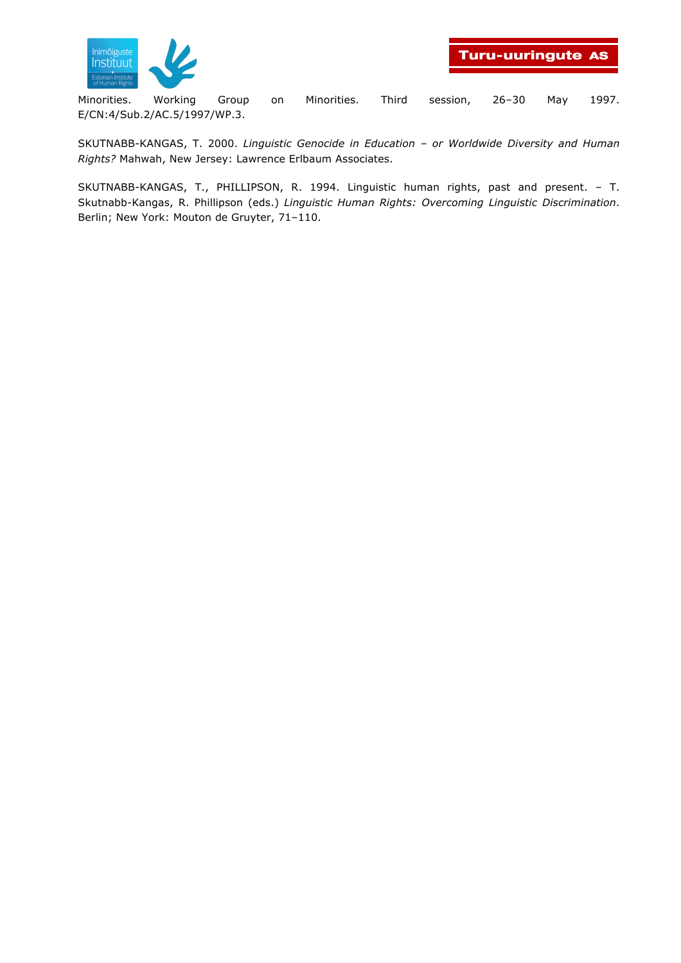

Minorities. Working Group on Minorities. Third session, 26–30 May 1997. E/CN:4/Sub.2/AC.5/1997/WP.3.

SKUTNABB-KANGAS, T. 2000. *Linguistic Genocide in Education – or Worldwide Diversity and Human Rights?* Mahwah, New Jersey: Lawrence Erlbaum Associates.

SKUTNABB-KANGAS, T., PHILLIPSON, R. 1994. Linguistic human rights, past and present. – T. Skutnabb-Kangas, R. Phillipson (eds.) *Linguistic Human Rights: Overcoming Linguistic Discrimination*. Berlin; New York: Mouton de Gruyter, 71–110.